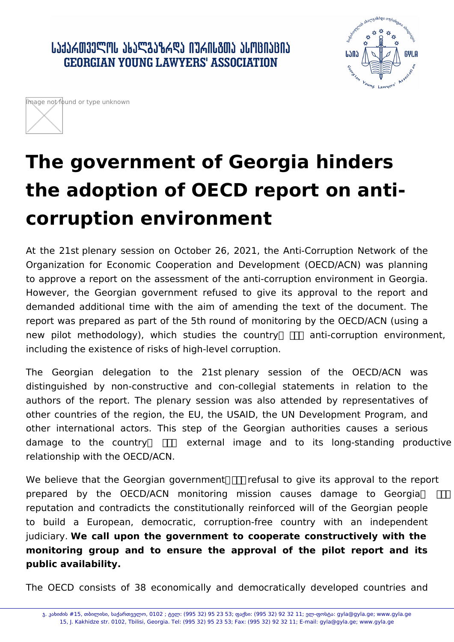․ ԱՆՅՆՃᲗᲕᲔᲚᲝᲡ ᲐᲮᲐᲚᲒᲐᲖᲠᲓᲐ ᲘᲣᲠᲘᲡᲒᲗᲐ ᲐᲡᲝᲪᲘᲐᲪᲘᲐ **GEORGIAN YOUNG LAWYERS' ASSOCIATION** 





## **The government of Georgia hinders the adoption of OECD report on anticorruption environment**

At the 21st plenary session on October 26, 2021, the Anti-Corruption Network of the Organization for Economic Cooperation and Development (OECD/ACN) was planning to approve a report on the assessment of the anti-corruption environment in Georgia. However, the Georgian government refused to give its approval to the report and demanded additional time with the aim of amending the text of the document. The report was prepared as part of the 5th round of monitoring by the OECD/ACN (using a new pilot methodology), which studies the country  $\Box$  anti-corruption environment, including the existence of risks of high-level corruption.

The Georgian delegation to the 21st plenary session of the OECD/ACN was distinguished by non-constructive and con-collegial statements in relation to the authors of the report. The plenary session was also attended by representatives of other countries of the region, the EU, the USAID, the UN Development Program, and other international actors. This step of the Georgian authorities causes a serious damage to the country  $\Pi$  external image and to its long-standing productive relationship with the OECD/ACN.

We believe that the Georgian government  $\Pi$  refusal to give its approval to the report prepared by the OECD/ACN monitoring mission causes damage to Georgia  $\Box$ reputation and contradicts the constitutionally reinforced will of the Georgian people to build a European, democratic, corruption-free country with an independent judiciary. **We call upon the government to cooperate constructively with the monitoring group and to ensure the approval of the pilot report and its public availability.** 

The OECD consists of 38 economically and democratically developed countries and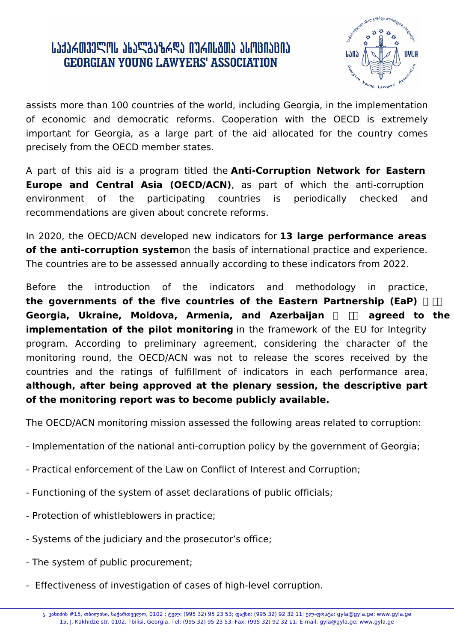## ՐԴԴՐԱՑՈՐԱՐԱՐ ՆԵՐԱՐԱՆ ԳՐՏԱՐԱՆ ԱՄԵՐԱՆԵՐԻ ՄԵՐԱՆԵՐԻ **GEORGIAN YOUNG LAWYERS' ASSOCIATION**



assists more than 100 countries of the world, including Georgia, in the implementation of economic and democratic reforms. Cooperation with the OECD is extremely important for Georgia, as a large part of the aid allocated for the country comes precisely from the OECD member states.

A part of this aid is a program titled the **Anti-Corruption Network for Eastern Europe and Central Asia (OECD/ACN)**, as part of which the anti-corruption environment of the participating countries is periodically checked and recommendations are given about concrete reforms.

In 2020, the OECD/ACN developed new indicators for **13 large performance areas of the anti-corruption system**on the basis of international practice and experience. The countries are to be assessed annually according to these indicators from 2022.

Before the introduction of the indicators and methodology in practice, the governments of the five countries of the Eastern Partnership (EaP) and Georgia, Ukraine, Moldova, Armenia, and Azerbaijan **Anglia II** agreed to the **implementation of the pilot monitoring** in the framework of the EU for Integrity program. According to preliminary agreement, considering the character of the monitoring round, the OECD/ACN was not to release the scores received by the countries and the ratings of fulfillment of indicators in each performance area, **although, after being approved at the plenary session, the descriptive part of the monitoring report was to become publicly available.** 

The OECD/ACN monitoring mission assessed the following areas related to corruption:

- Implementation of the national anti-corruption policy by the government of Georgia;
- Practical enforcement of the Law on Conflict of Interest and Corruption;
- Functioning of the system of asset declarations of public officials;
- Protection of whistleblowers in practice;
- Systems of the judiciary and the prosecutor's office;
- The system of public procurement;
- Effectiveness of investigation of cases of high-level corruption.